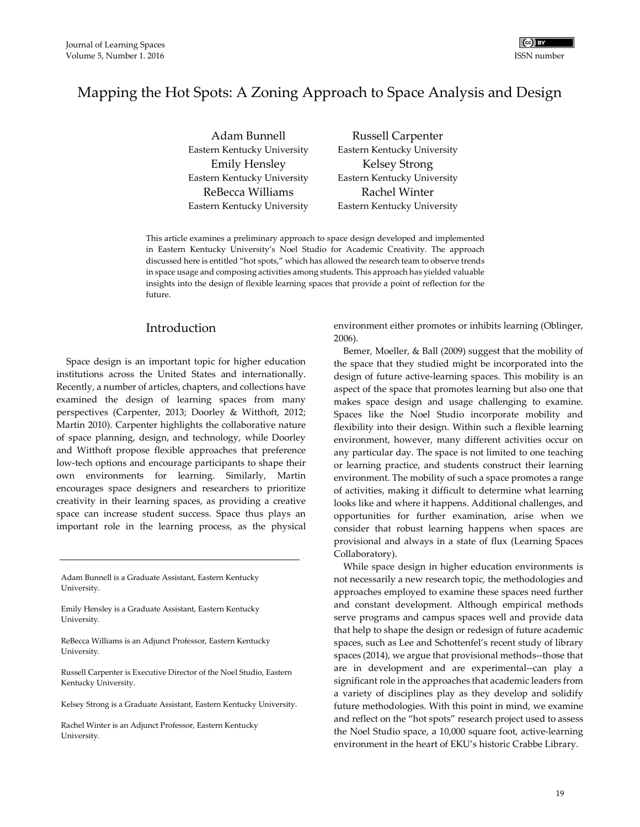

# Mapping the Hot Spots: A Zoning Approach to Space Analysis and Design

Adam Bunnell Eastern Kentucky University Russell Carpenter Eastern Kentucky University Emily Hensley Eastern Kentucky University Kelsey Strong Eastern Kentucky University ReBecca Williams Eastern Kentucky University Rachel Winter Eastern Kentucky University

This article examines a preliminary approach to space design developed and implemented in Eastern Kentucky University's Noel Studio for Academic Creativity. The approach discussed here is entitled "hot spots," which has allowed the research team to observe trends in space usage and composing activities among students. This approach has yielded valuable insights into the design of flexible learning spaces that provide a point of reflection for the future.

# Introduction

Space design is an important topic for higher education institutions across the United States and internationally. Recently, a number of articles, chapters, and collections have examined the design of learning spaces from many perspectives (Carpenter, 2013; Doorley & Witthoft, 2012; Martin 2010). Carpenter highlights the collaborative nature of space planning, design, and technology, while Doorley and Witthoft propose flexible approaches that preference low-tech options and encourage participants to shape their own environments for learning. Similarly, Martin encourages space designers and researchers to prioritize creativity in their learning spaces, as providing a creative space can increase student success. Space thus plays an important role in the learning process, as the physical

Adam Bunnell is a Graduate Assistant, Eastern Kentucky University.

Emily Hensley is a Graduate Assistant, Eastern Kentucky University.

ReBecca Williams is an Adjunct Professor, Eastern Kentucky University.

Russell Carpenter is Executive Director of the Noel Studio, Eastern Kentucky University.

Kelsey Strong is a Graduate Assistant, Eastern Kentucky University.

Rachel Winter is an Adjunct Professor, Eastern Kentucky University.

environment either promotes or inhibits learning (Oblinger, 2006).

Bemer, Moeller, & Ball (2009) suggest that the mobility of the space that they studied might be incorporated into the design of future active-learning spaces. This mobility is an aspect of the space that promotes learning but also one that makes space design and usage challenging to examine. Spaces like the Noel Studio incorporate mobility and flexibility into their design. Within such a flexible learning environment, however, many different activities occur on any particular day. The space is not limited to one teaching or learning practice, and students construct their learning environment. The mobility of such a space promotes a range of activities, making it difficult to determine what learning looks like and where it happens. Additional challenges, and opportunities for further examination, arise when we consider that robust learning happens when spaces are provisional and always in a state of flux (Learning Spaces Collaboratory).

While space design in higher education environments is not necessarily a new research topic, the methodologies and approaches employed to examine these spaces need further and constant development. Although empirical methods serve programs and campus spaces well and provide data that help to shape the design or redesign of future academic spaces, such as Lee and Schottenfel's recent study of library spaces (2014), we argue that provisional methods--those that are in development and are experimental--can play a significant role in the approaches that academic leaders from a variety of disciplines play as they develop and solidify future methodologies. With this point in mind, we examine and reflect on the "hot spots" research project used to assess the Noel Studio space, a 10,000 square foot, active-learning environment in the heart of EKU's historic Crabbe Library.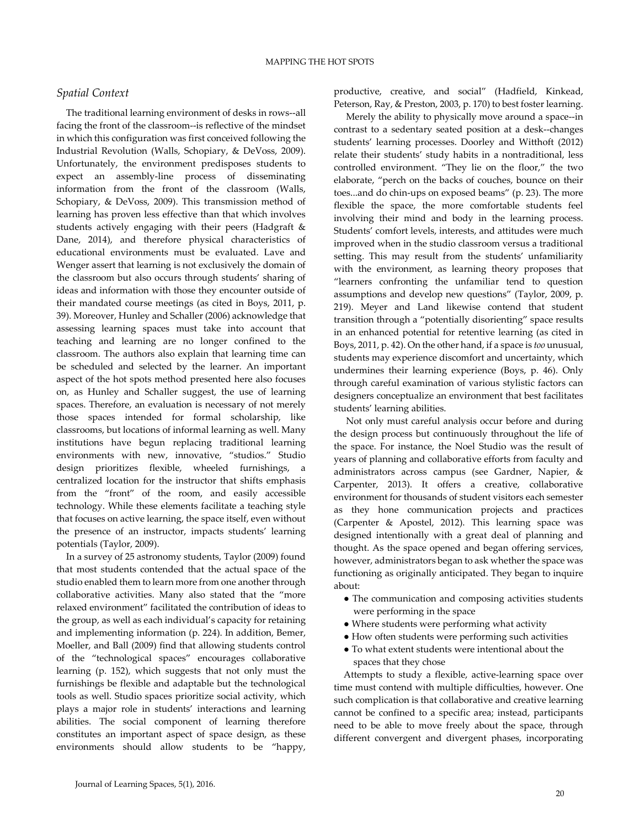# *Spatial Context*

The traditional learning environment of desks in rows--all facing the front of the classroom--is reflective of the mindset in which this configuration was first conceived following the Industrial Revolution (Walls, Schopiary, & DeVoss, 2009). Unfortunately, the environment predisposes students to expect an assembly-line process of disseminating information from the front of the classroom (Walls, Schopiary, & DeVoss, 2009). This transmission method of learning has proven less effective than that which involves students actively engaging with their peers (Hadgraft & Dane, 2014), and therefore physical characteristics of educational environments must be evaluated. Lave and Wenger assert that learning is not exclusively the domain of the classroom but also occurs through students' sharing of ideas and information with those they encounter outside of their mandated course meetings (as cited in Boys, 2011, p. 39). Moreover, Hunley and Schaller (2006) acknowledge that assessing learning spaces must take into account that teaching and learning are no longer confined to the classroom. The authors also explain that learning time can be scheduled and selected by the learner. An important aspect of the hot spots method presented here also focuses on, as Hunley and Schaller suggest, the use of learning spaces. Therefore, an evaluation is necessary of not merely those spaces intended for formal scholarship, like classrooms, but locations of informal learning as well. Many institutions have begun replacing traditional learning environments with new, innovative, "studios." Studio design prioritizes flexible, wheeled furnishings, a centralized location for the instructor that shifts emphasis from the "front" of the room, and easily accessible technology. While these elements facilitate a teaching style that focuses on active learning, the space itself, even without the presence of an instructor, impacts students' learning potentials (Taylor, 2009).

In a survey of 25 astronomy students, Taylor (2009) found that most students contended that the actual space of the studio enabled them to learn more from one another through collaborative activities. Many also stated that the "more relaxed environment" facilitated the contribution of ideas to the group, as well as each individual's capacity for retaining and implementing information (p. 224). In addition, Bemer, Moeller, and Ball (2009) find that allowing students control of the "technological spaces" encourages collaborative learning (p. 152), which suggests that not only must the furnishings be flexible and adaptable but the technological tools as well. Studio spaces prioritize social activity, which plays a major role in students' interactions and learning abilities. The social component of learning therefore constitutes an important aspect of space design, as these environments should allow students to be "happy,

productive, creative, and social" (Hadfield, Kinkead, Peterson, Ray, & Preston, 2003, p. 170) to best foster learning.

 Merely the ability to physically move around a space--in contrast to a sedentary seated position at a desk--changes students' learning processes. Doorley and Witthoft (2012) relate their students' study habits in a nontraditional, less controlled environment. "They lie on the floor," the two elaborate, "perch on the backs of couches, bounce on their toes...and do chin-ups on exposed beams" (p. 23). The more flexible the space, the more comfortable students feel involving their mind and body in the learning process. Students' comfort levels, interests, and attitudes were much improved when in the studio classroom versus a traditional setting. This may result from the students' unfamiliarity with the environment, as learning theory proposes that "learners confronting the unfamiliar tend to question assumptions and develop new questions" (Taylor, 2009, p. 219). Meyer and Land likewise contend that student transition through a "potentially disorienting" space results in an enhanced potential for retentive learning (as cited in Boys, 2011, p. 42). On the other hand, if a space is *too* unusual, students may experience discomfort and uncertainty, which undermines their learning experience (Boys, p. 46). Only through careful examination of various stylistic factors can designers conceptualize an environment that best facilitates students' learning abilities.

 Not only must careful analysis occur before and during the design process but continuously throughout the life of the space. For instance, the Noel Studio was the result of years of planning and collaborative efforts from faculty and administrators across campus (see Gardner, Napier, & Carpenter, 2013). It offers a creative, collaborative environment for thousands of student visitors each semester as they hone communication projects and practices (Carpenter & Apostel, 2012). This learning space was designed intentionally with a great deal of planning and thought. As the space opened and began offering services, however, administrators began to ask whether the space was functioning as originally anticipated. They began to inquire about:

- The communication and composing activities students were performing in the space
- Where students were performing what activity
- How often students were performing such activities
- To what extent students were intentional about the spaces that they chose

Attempts to study a flexible, active-learning space over time must contend with multiple difficulties, however. One such complication is that collaborative and creative learning cannot be confined to a specific area; instead, participants need to be able to move freely about the space, through different convergent and divergent phases, incorporating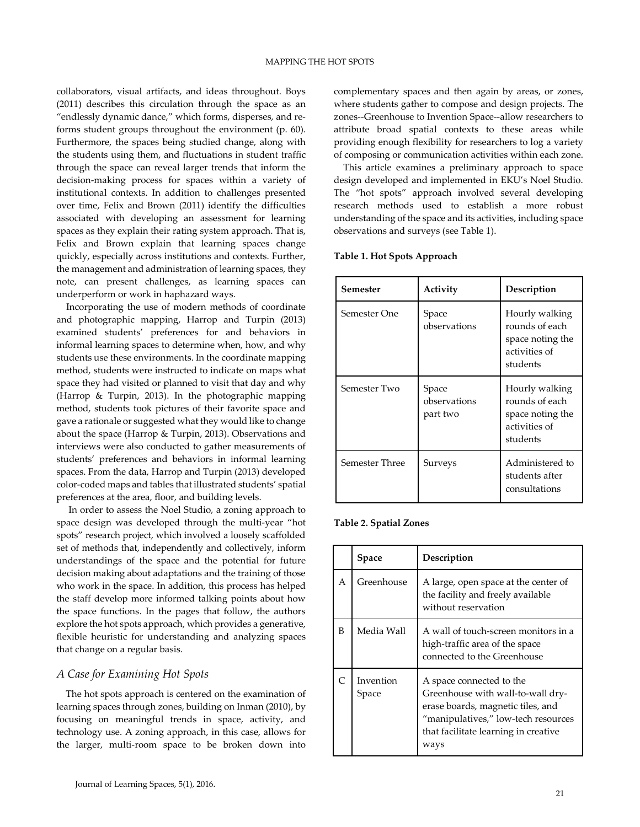collaborators, visual artifacts, and ideas throughout. Boys (2011) describes this circulation through the space as an "endlessly dynamic dance," which forms, disperses, and reforms student groups throughout the environment (p. 60). Furthermore, the spaces being studied change, along with the students using them, and fluctuations in student traffic through the space can reveal larger trends that inform the decision-making process for spaces within a variety of institutional contexts. In addition to challenges presented over time, Felix and Brown (2011) identify the difficulties associated with developing an assessment for learning spaces as they explain their rating system approach. That is, Felix and Brown explain that learning spaces change quickly, especially across institutions and contexts. Further, the management and administration of learning spaces, they note, can present challenges, as learning spaces can underperform or work in haphazard ways.

Incorporating the use of modern methods of coordinate and photographic mapping, Harrop and Turpin (2013) examined students' preferences for and behaviors in informal learning spaces to determine when, how, and why students use these environments. In the coordinate mapping method, students were instructed to indicate on maps what space they had visited or planned to visit that day and why (Harrop & Turpin, 2013). In the photographic mapping method, students took pictures of their favorite space and gave a rationale or suggested what they would like to change about the space (Harrop & Turpin, 2013). Observations and interviews were also conducted to gather measurements of students' preferences and behaviors in informal learning spaces. From the data, Harrop and Turpin (2013) developed color-coded maps and tables that illustrated students' spatial preferences at the area, floor, and building levels.

 In order to assess the Noel Studio, a zoning approach to space design was developed through the multi-year "hot spots" research project, which involved a loosely scaffolded set of methods that, independently and collectively, inform understandings of the space and the potential for future decision making about adaptations and the training of those who work in the space. In addition, this process has helped the staff develop more informed talking points about how the space functions. In the pages that follow, the authors explore the hot spots approach, which provides a generative, flexible heuristic for understanding and analyzing spaces that change on a regular basis.

## *A Case for Examining Hot Spots*

 The hot spots approach is centered on the examination of learning spaces through zones, building on Inman (2010), by focusing on meaningful trends in space, activity, and technology use. A zoning approach, in this case, allows for the larger, multi-room space to be broken down into

complementary spaces and then again by areas, or zones, where students gather to compose and design projects. The zones--Greenhouse to Invention Space--allow researchers to attribute broad spatial contexts to these areas while providing enough flexibility for researchers to log a variety of composing or communication activities within each zone.

 This article examines a preliminary approach to space design developed and implemented in EKU's Noel Studio. The "hot spots" approach involved several developing research methods used to establish a more robust understanding of the space and its activities, including space observations and surveys (see Table 1).

#### **Table 1. Hot Spots Approach**

| Semester       | Activity                          | Description                                                                       |
|----------------|-----------------------------------|-----------------------------------------------------------------------------------|
| Semester One   | Space<br>observations             | Hourly walking<br>rounds of each<br>space noting the<br>activities of<br>students |
| Semester Two   | Space<br>observations<br>part two | Hourly walking<br>rounds of each<br>space noting the<br>activities of<br>students |
| Semester Three | Surveys                           | Administered to<br>students after<br>consultations                                |

#### **Table 2. Spatial Zones**

|   | <b>Space</b>       | Description                                                                                                                                                                               |
|---|--------------------|-------------------------------------------------------------------------------------------------------------------------------------------------------------------------------------------|
| A | Greenhouse         | A large, open space at the center of<br>the facility and freely available<br>without reservation                                                                                          |
| B | Media Wall         | A wall of touch-screen monitors in a<br>high-traffic area of the space<br>connected to the Greenhouse                                                                                     |
|   | Invention<br>Space | A space connected to the<br>Greenhouse with wall-to-wall dry-<br>erase boards, magnetic tiles, and<br>"manipulatives," low-tech resources<br>that facilitate learning in creative<br>ways |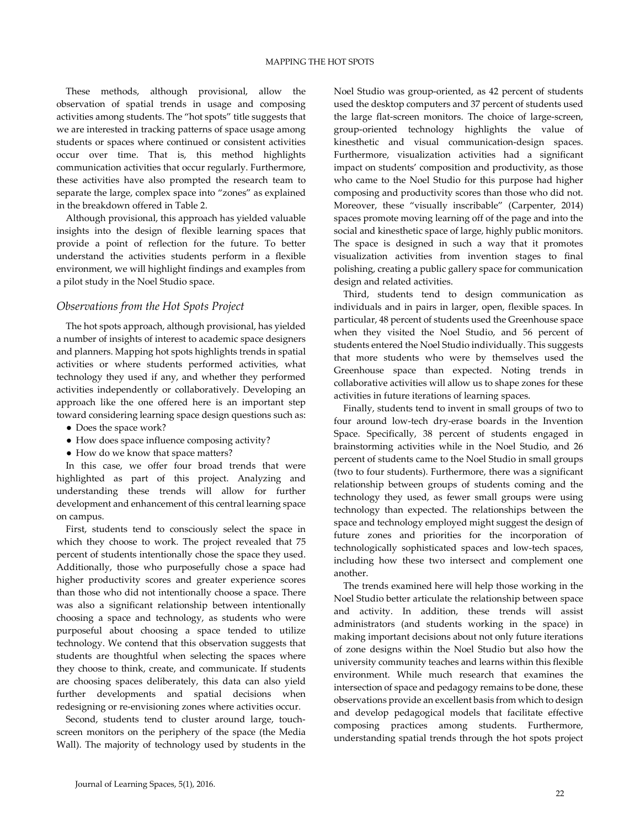These methods, although provisional, allow the observation of spatial trends in usage and composing activities among students. The "hot spots" title suggests that we are interested in tracking patterns of space usage among students or spaces where continued or consistent activities occur over time. That is, this method highlights communication activities that occur regularly. Furthermore, these activities have also prompted the research team to separate the large, complex space into "zones" as explained in the breakdown offered in Table 2.

Although provisional, this approach has yielded valuable insights into the design of flexible learning spaces that provide a point of reflection for the future. To better understand the activities students perform in a flexible environment, we will highlight findings and examples from a pilot study in the Noel Studio space.

### *Observations from the Hot Spots Project*

 The hot spots approach, although provisional, has yielded a number of insights of interest to academic space designers and planners. Mapping hot spots highlights trends in spatial activities or where students performed activities, what technology they used if any, and whether they performed activities independently or collaboratively. Developing an approach like the one offered here is an important step toward considering learning space design questions such as:

- Does the space work?
- How does space influence composing activity?
- How do we know that space matters?

 In this case, we offer four broad trends that were highlighted as part of this project. Analyzing and understanding these trends will allow for further development and enhancement of this central learning space on campus.

 First, students tend to consciously select the space in which they choose to work. The project revealed that 75 percent of students intentionally chose the space they used. Additionally, those who purposefully chose a space had higher productivity scores and greater experience scores than those who did not intentionally choose a space. There was also a significant relationship between intentionally choosing a space and technology, as students who were purposeful about choosing a space tended to utilize technology. We contend that this observation suggests that students are thoughtful when selecting the spaces where they choose to think, create, and communicate. If students are choosing spaces deliberately, this data can also yield further developments and spatial decisions when redesigning or re-envisioning zones where activities occur.

 Second, students tend to cluster around large, touchscreen monitors on the periphery of the space (the Media Wall). The majority of technology used by students in the

Noel Studio was group-oriented, as 42 percent of students used the desktop computers and 37 percent of students used the large flat-screen monitors. The choice of large-screen, group-oriented technology highlights the value of kinesthetic and visual communication-design spaces. Furthermore, visualization activities had a significant impact on students' composition and productivity, as those who came to the Noel Studio for this purpose had higher composing and productivity scores than those who did not. Moreover, these "visually inscribable" (Carpenter, 2014) spaces promote moving learning off of the page and into the social and kinesthetic space of large, highly public monitors. The space is designed in such a way that it promotes visualization activities from invention stages to final polishing, creating a public gallery space for communication design and related activities.

 Third, students tend to design communication as individuals and in pairs in larger, open, flexible spaces. In particular, 48 percent of students used the Greenhouse space when they visited the Noel Studio, and 56 percent of students entered the Noel Studio individually. This suggests that more students who were by themselves used the Greenhouse space than expected. Noting trends in collaborative activities will allow us to shape zones for these activities in future iterations of learning spaces.

 Finally, students tend to invent in small groups of two to four around low-tech dry-erase boards in the Invention Space. Specifically, 38 percent of students engaged in brainstorming activities while in the Noel Studio, and 26 percent of students came to the Noel Studio in small groups (two to four students). Furthermore, there was a significant relationship between groups of students coming and the technology they used, as fewer small groups were using technology than expected. The relationships between the space and technology employed might suggest the design of future zones and priorities for the incorporation of technologically sophisticated spaces and low-tech spaces, including how these two intersect and complement one another.

 The trends examined here will help those working in the Noel Studio better articulate the relationship between space and activity. In addition, these trends will assist administrators (and students working in the space) in making important decisions about not only future iterations of zone designs within the Noel Studio but also how the university community teaches and learns within this flexible environment. While much research that examines the intersection of space and pedagogy remains to be done, these observations provide an excellent basis from which to design and develop pedagogical models that facilitate effective composing practices among students. Furthermore, understanding spatial trends through the hot spots project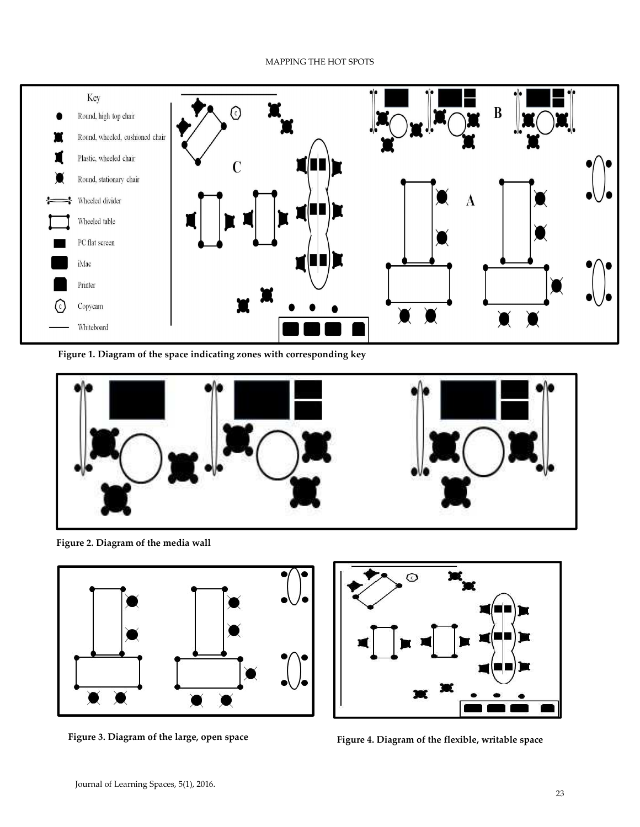# MAPPING THE HOT SPOTS



**Figure 1. Diagram of the space indicating zones with corresponding key**



**Figure 2. Diagram of the media wall**





**Figure 3. Diagram of the large, open space Figure 4. Diagram of the flexible, writable space**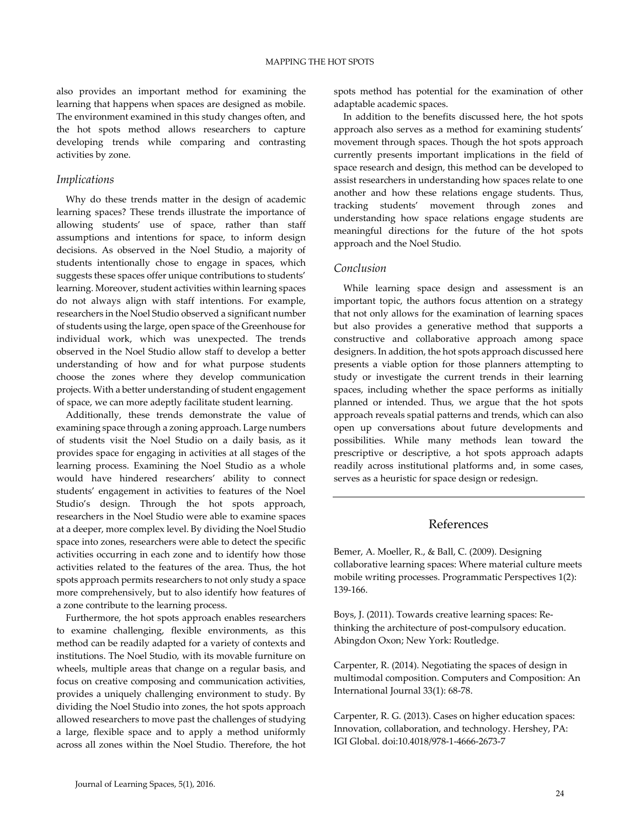also provides an important method for examining the learning that happens when spaces are designed as mobile. The environment examined in this study changes often, and the hot spots method allows researchers to capture developing trends while comparing and contrasting activities by zone.

### *Implications*

 Why do these trends matter in the design of academic learning spaces? These trends illustrate the importance of allowing students' use of space, rather than staff assumptions and intentions for space, to inform design decisions. As observed in the Noel Studio, a majority of students intentionally chose to engage in spaces, which suggests these spaces offer unique contributions to students' learning. Moreover, student activities within learning spaces do not always align with staff intentions. For example, researchers in the Noel Studio observed a significant number of students using the large, open space of the Greenhouse for individual work, which was unexpected. The trends observed in the Noel Studio allow staff to develop a better understanding of how and for what purpose students choose the zones where they develop communication projects. With a better understanding of student engagement of space, we can more adeptly facilitate student learning.

 Additionally, these trends demonstrate the value of examining space through a zoning approach. Large numbers of students visit the Noel Studio on a daily basis, as it provides space for engaging in activities at all stages of the learning process. Examining the Noel Studio as a whole would have hindered researchers' ability to connect students' engagement in activities to features of the Noel Studio's design. Through the hot spots approach, researchers in the Noel Studio were able to examine spaces at a deeper, more complex level. By dividing the Noel Studio space into zones, researchers were able to detect the specific activities occurring in each zone and to identify how those activities related to the features of the area. Thus, the hot spots approach permits researchers to not only study a space more comprehensively, but to also identify how features of a zone contribute to the learning process.

 Furthermore, the hot spots approach enables researchers to examine challenging, flexible environments, as this method can be readily adapted for a variety of contexts and institutions. The Noel Studio, with its movable furniture on wheels, multiple areas that change on a regular basis, and focus on creative composing and communication activities, provides a uniquely challenging environment to study. By dividing the Noel Studio into zones, the hot spots approach allowed researchers to move past the challenges of studying a large, flexible space and to apply a method uniformly across all zones within the Noel Studio. Therefore, the hot

spots method has potential for the examination of other adaptable academic spaces.

 In addition to the benefits discussed here, the hot spots approach also serves as a method for examining students' movement through spaces. Though the hot spots approach currently presents important implications in the field of space research and design, this method can be developed to assist researchers in understanding how spaces relate to one another and how these relations engage students. Thus, tracking students' movement through zones and understanding how space relations engage students are meaningful directions for the future of the hot spots approach and the Noel Studio.

### *Conclusion*

 While learning space design and assessment is an important topic, the authors focus attention on a strategy that not only allows for the examination of learning spaces but also provides a generative method that supports a constructive and collaborative approach among space designers. In addition, the hot spots approach discussed here presents a viable option for those planners attempting to study or investigate the current trends in their learning spaces, including whether the space performs as initially planned or intended. Thus, we argue that the hot spots approach reveals spatial patterns and trends, which can also open up conversations about future developments and possibilities. While many methods lean toward the prescriptive or descriptive, a hot spots approach adapts readily across institutional platforms and, in some cases, serves as a heuristic for space design or redesign.

# References

Bemer, A. Moeller, R., & Ball, C. (2009). Designing collaborative learning spaces: Where material culture meets mobile writing processes. Programmatic Perspectives 1(2): 139-166.

Boys, J. (2011). Towards creative learning spaces: Rethinking the architecture of post-compulsory education. Abingdon Oxon; New York: Routledge.

Carpenter, R. (2014). Negotiating the spaces of design in multimodal composition. Computers and Composition: An International Journal 33(1): 68-78.

Carpenter, R. G. (2013). Cases on higher education spaces: Innovation, collaboration, and technology. Hershey, PA: IGI Global. doi:10.4018/978-1-4666-2673-7